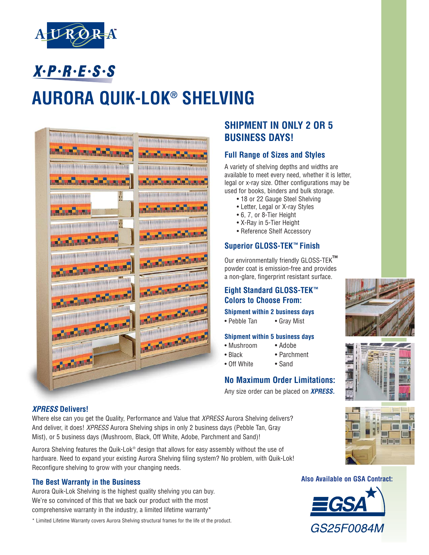

 $X \cdot P \cdot R \cdot E \cdot S \cdot S$ 

# **AURORA QUIK-LOK® SHELVING**



## **SHIPMENT IN ONLY 2 OR 5 BUSINESS DAYS!**

#### **Full Range of Sizes and Styles**

A variety of shelving depths and widths are available to meet every need, whether it is letter, legal or x-ray size. Other configurations may be used for books, binders and bulk storage.

- 18 or 22 Gauge Steel Shelving
- Letter, Legal or X-ray Styles
- 6, 7, or 8-Tier Height
- X-Ray in 5-Tier Height
- Reference Shelf Accessory

#### **Superior GLOSS-TEK™ Finish**

Our environmentally friendly GLOSS-TEK**™** powder coat is emission-free and provides a non-glare, fingerprint resistant surface.

### **Eight Standard GLOSS-TEK™ Colors to Choose From:**

#### **Shipment within 2 business days**

• Pebble Tan • Gray Mist

#### **Shipment within 5 business days**

- Mushroom Adobe
- Black Parchment
- Off White Sand

### **No Maximum Order Limitations:**

Any size order can be placed on **XPRESS.**





**OF LAST** 

#### **XPRESS Delivers!**

Where else can you get the Quality, Performance and Value that XPRESS Aurora Shelving delivers? And deliver, it does! *XPRESS* Aurora Shelving ships in only 2 business days (Pebble Tan, Gray Mist), or 5 business days (Mushroom, Black, Off White, Adobe, Parchment and Sand)!

Aurora Shelving features the Quik-Lok® design that allows for easy assembly without the use of hardware. Need to expand your existing Aurora Shelving filing system? No problem, with Quik-Lok! Reconfigure shelving to grow with your changing needs.

#### **The Best Warranty in the Business**

Aurora Quik-Lok Shelving is the highest quality shelving you can buy. We're so convinced of this that we back our product with the most comprehensive warranty in the industry, a limited lifetime warranty\*

\* Limited Lifetime Warranty covers Aurora Shelving structural frames for the life of the product.

#### **Also Available on GSA Contract:**